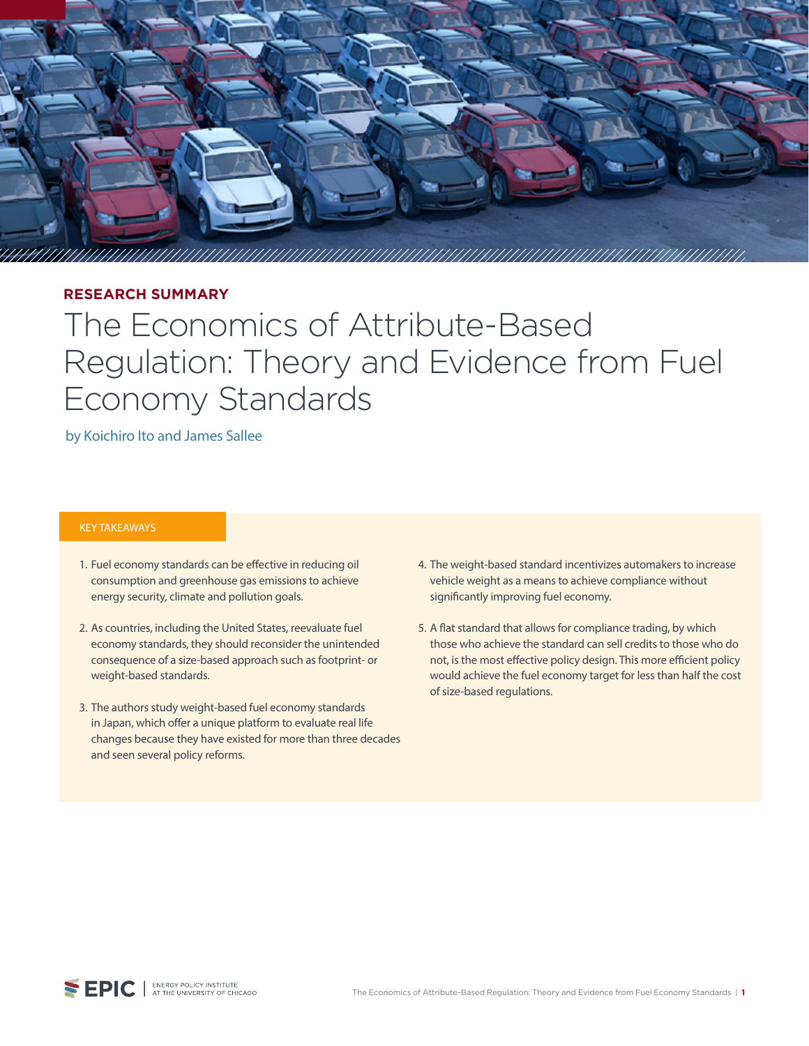

## **RESEARCH SUMMARY**

# The Economics of Attribute-Based Regulation: Theory and Evidence from Fuel Economy Standards

#### by Koichiro Ito and James Sallee

#### KEY TAKEAWAYS

- 1. Fuel economy standards can be effective in reducing oil consumption and greenhouse gas emissions to achieve energy security, climate and pollution goals.
- 2. As countries, including the United States, reevaluate fuel economy standards, they should reconsider the unintended consequence of a size-based approach such as footprint- or weight-based standards.
- 3. The authors study weight-based fuel economy standards in Japan, which offer a unique platform to evaluate real life changes because they have existed for more than three decades and seen several policy reforms.
- 4. The weight-based standard incentivizes automakers to increase vehicle weight as a means to achieve compliance without significantly improving fuel economy.
- 5. A flat standard that allows for compliance trading, by which those who achieve the standard can sell credits to those who do not, is the most effective policy design. This more efficient policy would achieve the fuel economy target for less than half the cost of size-based regulations.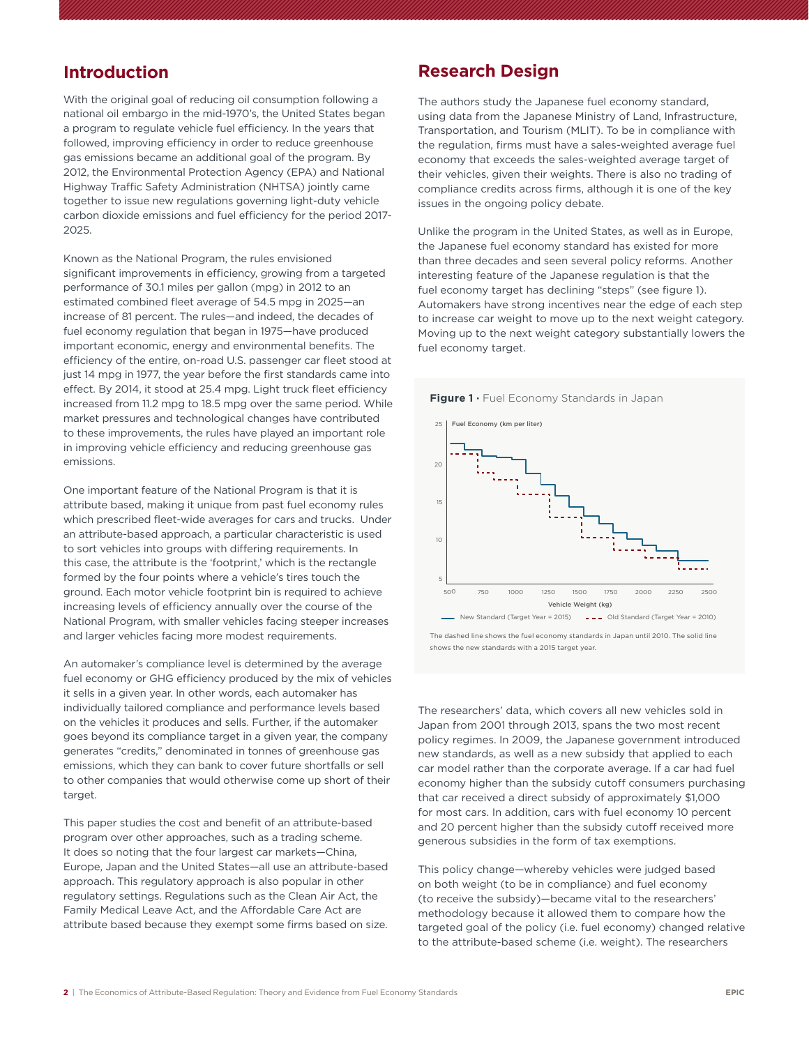## **Introduction**

With the original goal of reducing oil consumption following a national oil embargo in the mid-1970's, the United States began a program to regulate vehicle fuel efficiency. In the years that followed, improving efficiency in order to reduce greenhouse gas emissions became an additional goal of the program. By 2012, the Environmental Protection Agency (EPA) and National Highway Traffic Safety Administration (NHTSA) jointly came together to issue new regulations governing light-duty vehicle carbon dioxide emissions and fuel efficiency for the period 2017- 2025.

Known as the National Program, the rules envisioned significant improvements in efficiency, growing from a targeted performance of 30.1 miles per gallon (mpg) in 2012 to an estimated combined fleet average of 54.5 mpg in 2025—an increase of 81 percent. The rules—and indeed, the decades of fuel economy regulation that began in 1975—have produced important economic, energy and environmental benefits. The efficiency of the entire, on-road U.S. passenger car fleet stood at just 14 mpg in 1977, the year before the first standards came into effect. By 2014, it stood at 25.4 mpg. Light truck fleet efficiency increased from 11.2 mpg to 18.5 mpg over the same period. While market pressures and technological changes have contributed to these improvements, the rules have played an important role in improving vehicle efficiency and reducing greenhouse gas emissions.

One important feature of the National Program is that it is attribute based, making it unique from past fuel economy rules which prescribed fleet-wide averages for cars and trucks. Under an attribute-based approach, a particular characteristic is used to sort vehicles into groups with differing requirements. In this case, the attribute is the 'footprint,' which is the rectangle formed by the four points where a vehicle's tires touch the ground. Each motor vehicle footprint bin is required to achieve increasing levels of efficiency annually over the course of the National Program, with smaller vehicles facing steeper increases and larger vehicles facing more modest requirements.

An automaker's compliance level is determined by the average fuel economy or GHG efficiency produced by the mix of vehicles it sells in a given year. In other words, each automaker has individually tailored compliance and performance levels based on the vehicles it produces and sells. Further, if the automaker goes beyond its compliance target in a given year, the company generates "credits," denominated in tonnes of greenhouse gas emissions, which they can bank to cover future shortfalls or sell to other companies that would otherwise come up short of their target.

This paper studies the cost and benefit of an attribute-based program over other approaches, such as a trading scheme. It does so noting that the four largest car markets—China, Europe, Japan and the United States—all use an attribute-based approach. This regulatory approach is also popular in other regulatory settings. Regulations such as the Clean Air Act, the Family Medical Leave Act, and the Affordable Care Act are attribute based because they exempt some firms based on size.

### **Research Design**

The authors study the Japanese fuel economy standard, using data from the Japanese Ministry of Land, Infrastructure, Transportation, and Tourism (MLIT). To be in compliance with the regulation, firms must have a sales-weighted average fuel economy that exceeds the sales-weighted average target of their vehicles, given their weights. There is also no trading of compliance credits across firms, although it is one of the key issues in the ongoing policy debate.

Unlike the program in the United States, as well as in Europe, the Japanese fuel economy standard has existed for more than three decades and seen several policy reforms. Another interesting feature of the Japanese regulation is that the fuel economy target has declining "steps" (see figure 1). Automakers have strong incentives near the edge of each step to increase car weight to move up to the next weight category. Moving up to the next weight category substantially lowers the fuel economy target.





The dashed line shows the fuel economy standards in Japan until 2010. The solid line shows the new standards with a 2015 target year.

The researchers' data, which covers all new vehicles sold in Japan from 2001 through 2013, spans the two most recent policy regimes. In 2009, the Japanese government introduced new standards, as well as a new subsidy that applied to each car model rather than the corporate average. If a car had fuel economy higher than the subsidy cutoff consumers purchasing that car received a direct subsidy of approximately \$1,000 for most cars. In addition, cars with fuel economy 10 percent and 20 percent higher than the subsidy cutoff received more generous subsidies in the form of tax exemptions.

This policy change—whereby vehicles were judged based on both weight (to be in compliance) and fuel economy (to receive the subsidy)—became vital to the researchers' methodology because it allowed them to compare how the targeted goal of the policy (i.e. fuel economy) changed relative to the attribute-based scheme (i.e. weight). The researchers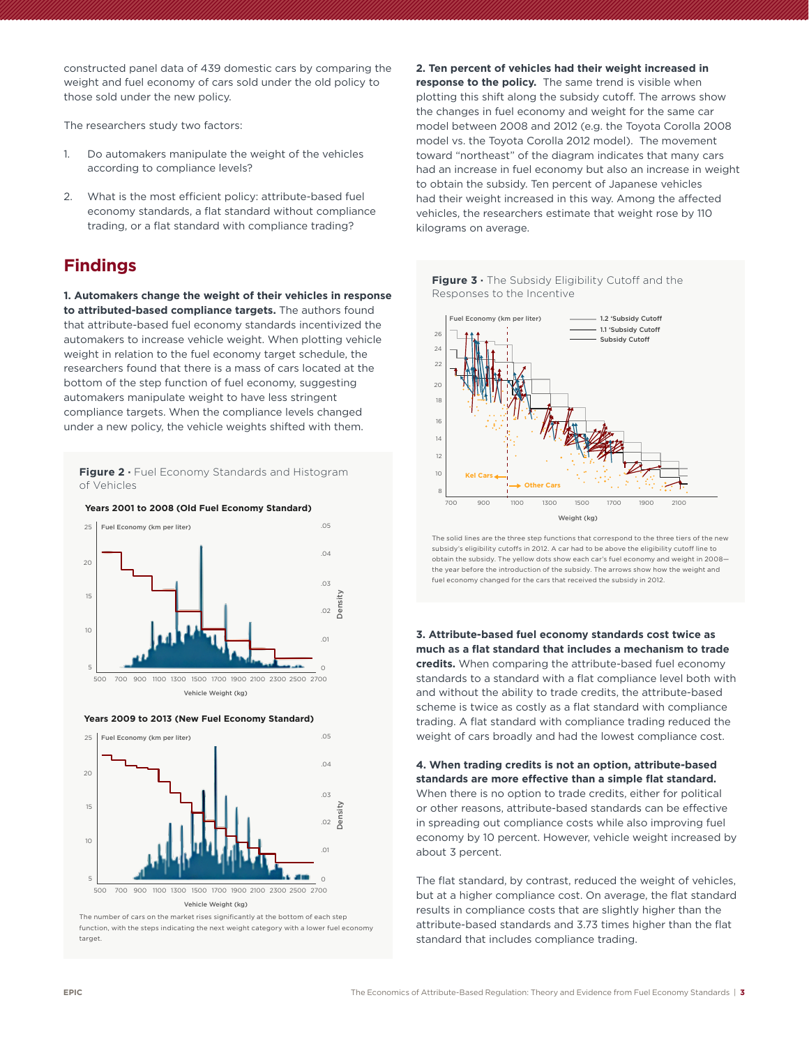constructed panel data of 439 domestic cars by comparing the weight and fuel economy of cars sold under the old policy to those sold under the new policy.

The researchers study two factors:

- 1. Do automakers manipulate the weight of the vehicles according to compliance levels?
- 2. What is the most efficient policy: attribute-based fuel economy standards, a flat standard without compliance trading, or a flat standard with compliance trading?

# **Findings**

**1. Automakers change the weight of their vehicles in response to attributed-based compliance targets.** The authors found that attribute-based fuel economy standards incentivized the automakers to increase vehicle weight. When plotting vehicle weight in relation to the fuel economy target schedule, the researchers found that there is a mass of cars located at the bottom of the step function of fuel economy, suggesting automakers manipulate weight to have less stringent compliance targets. When the compliance levels changed under a new policy, the vehicle weights shifted with them.

Figure 2 · Fuel Economy Standards and Histogram of Vehicles







Vehicle Weight (kg)

The number of cars on the market rises significantly at the bottom of each step function, with the steps indicating the next weight category with a lower fuel economy target.

**2. Ten percent of vehicles had their weight increased in response to the policy.** The same trend is visible when plotting this shift along the subsidy cutoff. The arrows show the changes in fuel economy and weight for the same car model between 2008 and 2012 (e.g. the Toyota Corolla 2008 model vs. the Toyota Corolla 2012 model). The movement toward "northeast" of the diagram indicates that many cars had an increase in fuel economy but also an increase in weight to obtain the subsidy. Ten percent of Japanese vehicles had their weight increased in this way. Among the affected vehicles, the researchers estimate that weight rose by 110 kilograms on average.





The solid lines are the three step functions that correspond to the three tiers of the new subsidy's eligibility cutoffs in 2012. A car had to be above the eligibility cutoff line to obtain the subsidy. The yellow dots show each car's fuel economy and weight in 2008— .04 the year before the introduction of the subsidy. The arrows show how the weight and fuel economy changed for the cars that received the subsidy in 2012.

**3. Attribute-based fuel economy standards cost twice as much as a flat standard that includes a mechanism to trade**  .01 **credits.** When comparing the attribute-based fuel economy 0 standards to a standard with a flat compliance level both with and without the ability to trade credits, the attribute-based scheme is twice as costly as a flat standard with compliance trading. A flat standard with compliance trading reduced the weight of cars broadly and had the lowest compliance cost.

**4. When trading credits is not an option, attribute-based standards are more effective than a simple flat standard.**  When there is no option to trade credits, either for political or other reasons, attribute-based standards can be effective in spreading out compliance costs while also improving fuel economy by 10 percent. However, vehicle weight increased by about 3 percent.

The flat standard, by contrast, reduced the weight of vehicles, but at a higher compliance cost. On average, the flat standard results in compliance costs that are slightly higher than the attribute-based standards and 3.73 times higher than the flat standard that includes compliance trading.